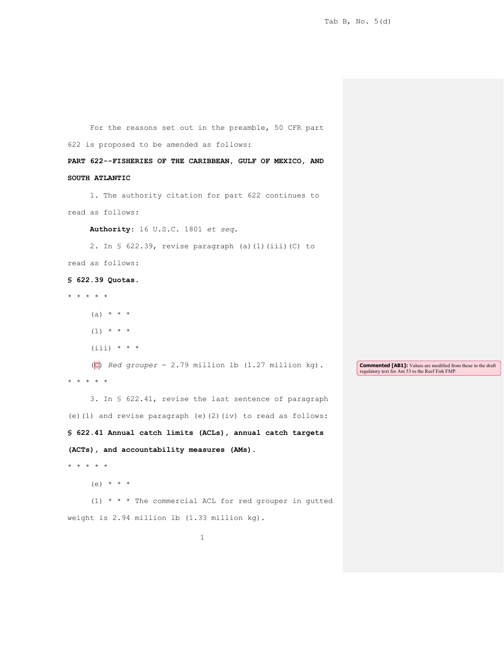1 For the reasons set out in the preamble, 50 CFR part 622 is proposed to be amended as follows: **PART 622--FISHERIES OF THE CARIBBEAN, GULF OF MEXICO, AND SOUTH ATLANTIC**  1. The authority citation for part 622 continues to read as follows: **Authority**: 16 U.S.C. 1801 *et seq*. 2. In § 622.39, revise paragraph (a)(1)(iii)(C) to read as follows: **§ 622.39 Quotas**. \* \* \* \* \* (a)  $* * * *$  $(1)$  \* \* \*  $(iii) * * * *$ (C) *Red grouper* - 2.79 million lb (1.27 million kg). \* \* \* \* \* 3. In § 622.41, revise the last sentence of paragraph (e)(1) and revise paragraph (e)(2)(iv) to read as follows: **§ 622.41 Annual catch limits (ACLs), annual catch targets (ACTs), and accountability measures (AMs).** \* \* \* \* \*  $(e)$  \* \* \* (1) \* \* \* The commercial ACL for red grouper in gutted weight is 2.94 million lb (1.33 million kg). **Commented [AB1]:** Values are modified from those in the draft regulatory text for Am 53 to the Reef Fish FMP.